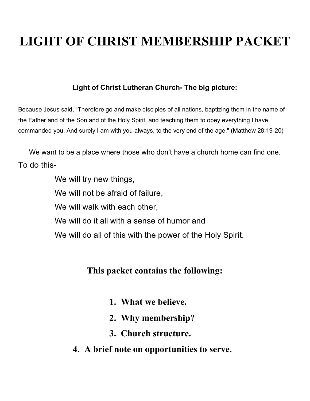# **LIGHT OF CHRIST MEMBERSHIP PACKET**

### **Light of Christ Lutheran Church- The big picture:**

Because Jesus said, "Therefore go and make disciples of all nations, baptizing them in the name of the Father and of the Son and of the Holy Spirit, and teaching them to obey everything I have commanded you. And surely I am with you always, to the very end of the age." (Matthew 28:19-20)

We want to be a place where those who don't have a church home can find one. To do this-

We will try new things,

We will not be afraid of failure,

We will walk with each other,

We will do it all with a sense of humor and

We will do all of this with the power of the Holy Spirit.

## **This packet contains the following:**

- **1. What we believe.**
- **2. Why membership?**
- **3. Church structure.**
- **4. A brief note on opportunities to serve.**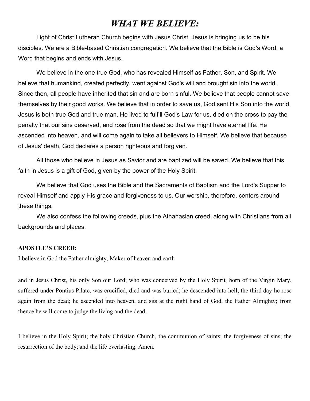### *WHAT WE BELIEVE:*

Light of Christ Lutheran Church begins with Jesus Christ. Jesus is bringing us to be his disciples. We are a Bible-based Christian congregation. We believe that the Bible is God's Word, a Word that begins and ends with Jesus.

We believe in the one true God, who has revealed Himself as Father, Son, and Spirit. We believe that humankind, created perfectly, went against God's will and brought sin into the world. Since then, all people have inherited that sin and are born sinful. We believe that people cannot save themselves by their good works. We believe that in order to save us, God sent His Son into the world. Jesus is both true God and true man. He lived to fulfill God's Law for us, died on the cross to pay the penalty that our sins deserved, and rose from the dead so that we might have eternal life. He ascended into heaven, and will come again to take all believers to Himself. We believe that because of Jesus' death, God declares a person righteous and forgiven.

All those who believe in Jesus as Savior and are baptized will be saved. We believe that this faith in Jesus is a gift of God, given by the power of the Holy Spirit.

We believe that God uses the Bible and the Sacraments of Baptism and the Lord's Supper to reveal Himself and apply His grace and forgiveness to us. Our worship, therefore, centers around these things.

We also confess the following creeds, plus the Athanasian creed, along with Christians from all backgrounds and places:

#### **APOSTLE'S CREED:**

I believe in God the Father almighty, Maker of heaven and earth

and in Jesus Christ, his only Son our Lord; who was conceived by the Holy Spirit, born of the Virgin Mary, suffered under Pontius Pilate, was crucified, died and was buried; he descended into hell; the third day he rose again from the dead; he ascended into heaven, and sits at the right hand of God, the Father Almighty; from thence he will come to judge the living and the dead.

I believe in the Holy Spirit; the holy Christian Church, the communion of saints; the forgiveness of sins; the resurrection of the body; and the life everlasting. Amen.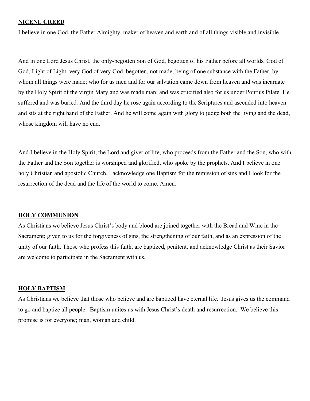#### **NICENE CREED**

I believe in one God, the Father Almighty, maker of heaven and earth and of all things visible and invisible.

And in one Lord Jesus Christ, the only-begotten Son of God, begotten of his Father before all worlds, God of God, Light of Light, very God of very God, begotten, not made, being of one substance with the Father, by whom all things were made; who for us men and for our salvation came down from heaven and was incarnate by the Holy Spirit of the virgin Mary and was made man; and was crucified also for us under Pontius Pilate. He suffered and was buried. And the third day he rose again according to the Scriptures and ascended into heaven and sits at the right hand of the Father. And he will come again with glory to judge both the living and the dead, whose kingdom will have no end.

And I believe in the Holy Spirit, the Lord and giver of life, who proceeds from the Father and the Son, who with the Father and the Son together is worshiped and glorified, who spoke by the prophets. And I believe in one holy Christian and apostolic Church, I acknowledge one Baptism for the remission of sins and I look for the resurrection of the dead and the life of the world to come. Amen.

#### **HOLY COMMUNION**

As Christians we believe Jesus Christ's body and blood are joined together with the Bread and Wine in the Sacrament; given to us for the forgiveness of sins, the strengthening of our faith, and as an expression of the unity of our faith. Those who profess this faith, are baptized, penitent, and acknowledge Christ as their Savior are welcome to participate in the Sacrament with us.

#### **HOLY BAPTISM**

As Christians we believe that those who believe and are baptized have eternal life. Jesus gives us the command to go and baptize all people. Baptism unites us with Jesus Christ's death and resurrection. We believe this promise is for everyone; man, woman and child.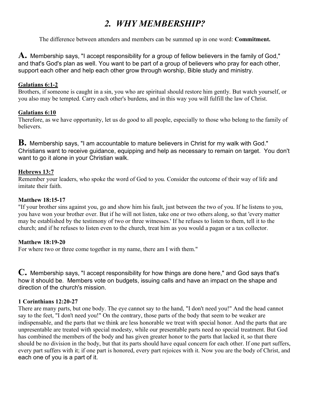# *2. WHY MEMBERSHIP?*

The difference between attenders and members can be summed up in one word: **Commitment.**

**A.** Membership says, "I accept responsibility for <sup>a</sup> group of fellow believers in the family of God," and that's God's plan as well. You want to be part of a group of believers who pray for each other, support each other and help each other grow through worship, Bible study and ministry.

### **Galatians 6:1-2**

Brothers, if someone is caught in a sin, you who are spiritual should restore him gently. But watch yourself, or you also may be tempted. Carry each other's burdens, and in this way you will fulfill the law of Christ.

### **Galatians 6:10**

Therefore, as we have opportunity, let us do good to all people, especially to those who belong to the family of believers.

**B.** Membership says, "I am accountable to mature believers in Christ for my walk with God." Christians want to receive guidance, equipping and help as necessary to remain on target. You don't want to go it alone in your Christian walk.

### **Hebrews 13:7**

Remember your leaders, who spoke the word of God to you. Consider the outcome of their way of life and imitate their faith.

### **Matthew 18:15-17**

"If your brother sins against you, go and show him his fault, just between the two of you. If he listens to you, you have won your brother over. But if he will not listen, take one or two others along, so that 'every matter may be established by the testimony of two or three witnesses.' If he refuses to listen to them, tell it to the church; and if he refuses to listen even to the church, treat him as you would a pagan or a tax collector.

### **Matthew 18:19-20**

For where two or three come together in my name, there am I with them."

**C.** Membership says, "I accept responsibility for how things are done here," and God says that's how it should be. Members vote on budgets, issuing calls and have an impact on the shape and direction of the church's mission.

### **1 Corinthians 12:20-27**

There are many parts, but one body. The eye cannot say to the hand, "I don't need you!" And the head cannot say to the feet, "I don't need you!" On the contrary, those parts of the body that seem to be weaker are indispensable, and the parts that we think are less honorable we treat with special honor. And the parts that are unpresentable are treated with special modesty, while our presentable parts need no special treatment. But God has combined the members of the body and has given greater honor to the parts that lacked it, so that there should be no division in the body, but that its parts should have equal concern for each other. If one part suffers, every part suffers with it; if one part is honored, every part rejoices with it. Now you are the body of Christ, and each one of you is a part of it.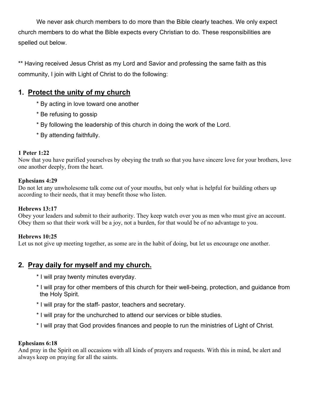We never ask church members to do more than the Bible clearly teaches. We only expect church members to do what the Bible expects every Christian to do. These responsibilities are spelled out below.

\*\* Having received Jesus Christ as my Lord and Savior and professing the same faith as this community, I join with Light of Christ to do the following:

### **1. Protect the unity of my church**

- \* By acting in love toward one another
- \* Be refusing to gossip
- \* By following the leadership of this church in doing the work of the Lord.
- \* By attending faithfully.

### **1 Peter 1:22**

Now that you have purified yourselves by obeying the truth so that you have sincere love for your brothers, love one another deeply, from the heart.

### **Ephesians 4:29**

Do not let any unwholesome talk come out of your mouths, but only what is helpful for building others up according to their needs, that it may benefit those who listen.

### **Hebrews 13:17**

Obey your leaders and submit to their authority. They keep watch over you as men who must give an account. Obey them so that their work will be a joy, not a burden, for that would be of no advantage to you.

### **Hebrews 10:25**

Let us not give up meeting together, as some are in the habit of doing, but let us encourage one another.

### **2. Pray daily for myself and my church.**

- \* I will pray twenty minutes everyday.
- \* I will pray for other members of this church for their well-being, protection, and guidance from the Holy Spirit.
- \* I will pray for the staff- pastor, teachers and secretary.
- \* I will pray for the unchurched to attend our services or bible studies.
- \* I will pray that God provides finances and people to run the ministries of Light of Christ.

### **Ephesians 6:18**

And pray in the Spirit on all occasions with all kinds of prayers and requests. With this in mind, be alert and always keep on praying for all the saints.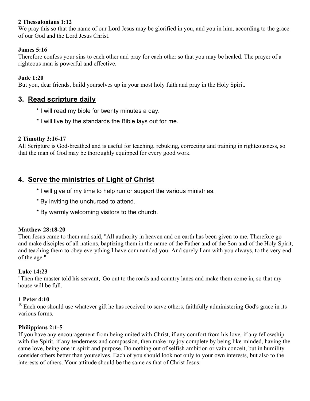### **2 Thessalonians 1:12**

We pray this so that the name of our Lord Jesus may be glorified in you, and you in him, according to the grace of our God and the Lord Jesus Christ.

### **James 5:16**

Therefore confess your sins to each other and pray for each other so that you may be healed. The prayer of a righteous man is powerful and effective.

### **Jude 1:20**

But you, dear friends, build yourselves up in your most holy faith and pray in the Holy Spirit.

### **3. Read scripture daily**

- \* I will read my bible for twenty minutes a day.
- \* I will live by the standards the Bible lays out for me.

### **2 Timothy 3:16-17**

All Scripture is God-breathed and is useful for teaching, rebuking, correcting and training in righteousness, so that the man of God may be thoroughly equipped for every good work.

### **4. Serve the ministries of Light of Christ**

- \* I will give of my time to help run or support the various ministries.
- \* By inviting the unchurced to attend.
- \* By warmly welcoming visitors to the church.

### **Matthew 28:18-20**

Then Jesus came to them and said, "All authority in heaven and on earth has been given to me. Therefore go and make disciples of all nations, baptizing them in the name of the Father and of the Son and of the Holy Spirit, and teaching them to obey everything I have commanded you. And surely I am with you always, to the very end of the age."

### **Luke 14:23**

"Then the master told his servant, 'Go out to the roads and country lanes and make them come in, so that my house will be full.

### **1 Peter 4:10**

 $10$  Each one should use whatever gift he has received to serve others, faithfully administering God's grace in its various forms.

### **Philippians 2:1-5**

If you have any encouragement from being united with Christ, if any comfort from his love, if any fellowship with the Spirit, if any tenderness and compassion, then make my joy complete by being like-minded, having the same love, being one in spirit and purpose. Do nothing out of selfish ambition or vain conceit, but in humility consider others better than yourselves. Each of you should look not only to your own interests, but also to the interests of others. Your attitude should be the same as that of Christ Jesus: